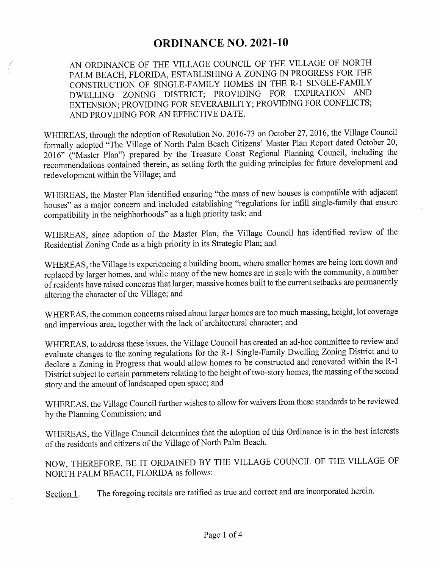## **ORDINANCE NO. 2021-10**

AN ORDINANCE OF THE VILLAGE COUNCIL OF THE VILLAGE OF NORTH PALM BEACH, FLORIDA, ESTABLISHING A ZONING IN PROGRESS FOR THE CONSTRUCTION OF SINGLE-FAMILY HOMES IN THE R-1 SINGLE-FAMILY DWELLING ZONING DISTRICT; PROVIDING FOR EXPIRATION AND EXTENSION; PROVIDING FOR SEVERABILITY; PROVIDING FOR CONFLICTS; AND PROVIDING FOR AN EFFECTIVE DATE.

WHEREAS, through the adoption of Resolution No. 2016- 73 on October 27, 2016, the Village Council formally adopted "The Village of North Palm Beach Citizens' Master Plan Report dated October 20, 2016" ("Master Plan") prepared by the Treasure Coast Regional Planning Council, including the recommendations contained therein, as setting forth the guiding principles for future development and redevelopment within the Village; and

WHEREAS, the Master Plan identified ensuring "the mass of new houses is compatible with adjacent houses" as a major concern and included establishing "regulations for infill single-family that ensure compatibility in the neighborhoods" as <sup>a</sup> high priority task; and

WHEREAS, since adoption of the Master Plan, the Village Council has identified review of the Residential Zoning Code as a high priority in its Strategic Plan; and

WHEREAS, the Village is experiencing a building boom, where smaller homes are being torn down and replaced by larger homes, and while many of the new homes are in scale with the community, a number ofresidents have raised concerns that larger, massive homes built to the current setbacks are permanently altering the character of the Village; and

WHEREAS, the common concerns raised about larger homes are too much massing, height, lot coverage and impervious area, together with the lack of architectural character; and

WHEREAS, to address these issues, the Village Council has created an ad- hoc committee to review and evaluate changes to the zoning regulations for the R-1 Single-Family Dwelling Zoning District and to declare a Zoning in Progress that would allow homes to be constructed and renovated within the R-1 District subject to certain parameters relating to the height of two-story homes, the massing of the second story and the amount of landscaped open space; and

WHEREAS, the Village Council further wishes to allow for waivers from these standards to be reviewed by the Planning Commission; and

WHEREAS, the Village Council determines that the adoption of this Ordinance is in the best interests of the residents and citizens of the Village of North Palm Beach.

NOW, THEREFORE, BE IT ORDAINED BY THE VILLAGE COUNCIL OF THE VILLAGE OF NORTH PALM BEACH, FLORIDA as follows:

Section 1. The foregoing recitals are ratified as true and correct and are incorporated herein.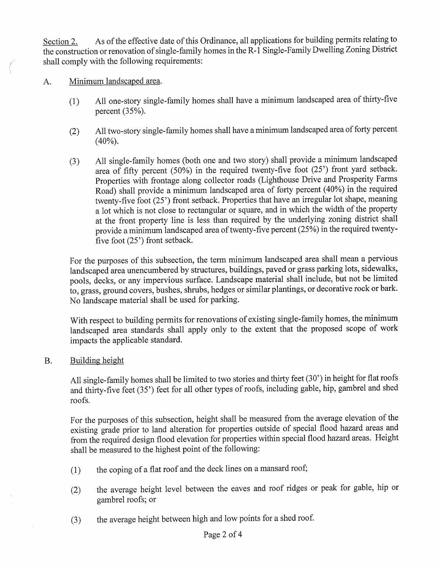Section 2. As of the effective date of this Ordinance, all applications for building permits relating to the construction or renovation of single-family homes in the R-1 Single-Family Dwelling Zoning District shall comply with the following requirements:

A. Minimum landscaped area.

- 1) All one- story single- family homes shall have <sup>a</sup> minimum landscaped area of thirty- five percent  $(35%)$ .
- 2) All two- story single- family homes shall have <sup>a</sup> minimum landscaped area of forty percent  $(40%).$
- 3) All single- family homes ( both one and two story) shall provide <sup>a</sup> minimum landscaped area of fifty percent (50%) in the required twenty-five foot (25') front yard setback. Properties with frontage along collector roads ( Lighthouse Drive and Prosperity Farms Road) shall provide <sup>a</sup> minimum landscaped area of forty percent ( 40%) in the required twenty-five foot (25') front setback. Properties that have an irregular lot shape, meaning a lot which is not close to rectangular or square, and in which the width of the property at the front property line is less than required by the underlying zoning district shall provide a minimum landscaped area of twenty-five percent (25%) in the required twentyfive foot  $(25)$  front setback.

For the purposes of this subsection, the term minimum landscaped area shall mean a pervious landscaped area unencumbered by structures, buildings, paved or grass parking lots, sidewalks, pools, decks, or any impervious surface. Landscape material shall include, but not be limited to, grass, ground covers, bushes, shrubs, hedges or similar plantings, or decorative rock or bark. No landscape material shall be used for parking.

With respect to building permits for renovations of existing single-family homes, the minimum landscaped area standards shall apply only to the extent that the proposed scope of work impacts the applicable standard.

B. Building height

All single-family homes shall be limited to two stories and thirty feet (30') in height for flat roofs and thirty-five feet (35') feet for all other types of roofs, including gable, hip, gambrel and shed roofs.

For the purposes of this subsection, height shall be measured from the average elevation of the existing grade prior to land alteration for properties outside of special flood hazard areas and from the required design flood elevation for properties within special flood hazard areas. Height shall be measured to the highest point of the following:

- 1) the coping of a flat roof and the deck lines on a mansard roof;
- 2) the average height level between the eaves and roof ridges or peak for gable, hip or gambrel roofs; or
- 3) the average height between high and low points for a shed roof.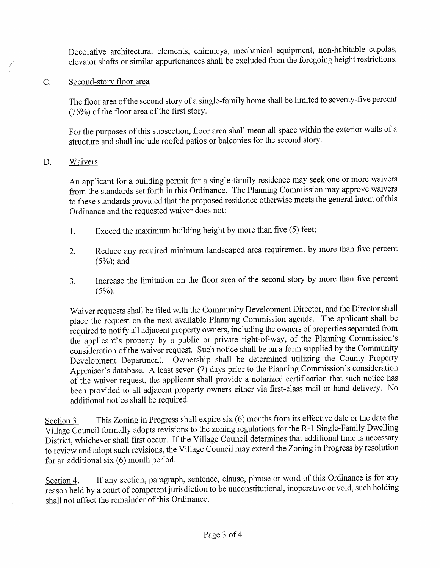Decorative architectural elements, chimneys, mechanical equipment, non -habitable cupolas, elevator shafts or similar appurtenances shall be excluded from the foregoing height restrictions.

## C. Second -story floor area

The floor area of the second story of a single-family home shall be limited to seventy-five percent 75%) of the floor area of the first story.

For the purposes of this subsection, floor area shall mean all space within the exterior walls of a structure and shall include roofed patios or balconies for the second story.

## D. Waivers

An applicant for a building permit for a single- family residence may seek one or more waivers from the standards set forth in this Ordinance. The Planning Commission may approve waivers to these standards provided that the proposed residence otherwise meets the general intent ofthis Ordinance and the requested waiver does not:

- 1. Exceed the maximum building height by more than five (5) feet;
- 2. Reduce any required minimum landscaped area requirement by more than five percent 5%); and
- 3. Increase the limitation on the floor area of the second story by more than five percent  $(5%)$ .

Waiver requests shall be filed with the Community Development Director, and the Director shall place the request on the next available Planning Commission agenda. The applicant shall be required to notify all adjacent property owners, including the owners of properties separated from the applicant's property by a public or private right-of-way, of the Planning Commission's consideration of the waiver request. Such notice shall be on <sup>a</sup> form supplied by the Community Development Department. Ownership shall be determined utilizing the County Property Appraiser's database. A least seven  $(7)$  days prior to the Planning Commission's consideration of the waiver request, the applicant shall provide <sup>a</sup> notarized certification that such notice has been provided to all adjacent property owners either via first- class mail or hand -delivery. No additional notice shall be required.

Section 3. This Zoning in Progress shall expire six (6) months from its effective date or the date the Village Council formally adopts revisions to the zoning regulations for the R-1 Single-Family Dwelling District, whichever shall first occur. If the Village Council determines that additional time is necessary to review and adopt such revisions, the Village Council may extend the Zoning in Progress by resolution for an additional six  $(6)$  month period.

Section 4. If any section, paragraph, sentence, clause, phrase or word of this Ordinance is for any reason held by a court of competent jurisdiction to be unconstitutional, inoperative or void, such holding shall not affect the remainder of this Ordinance.